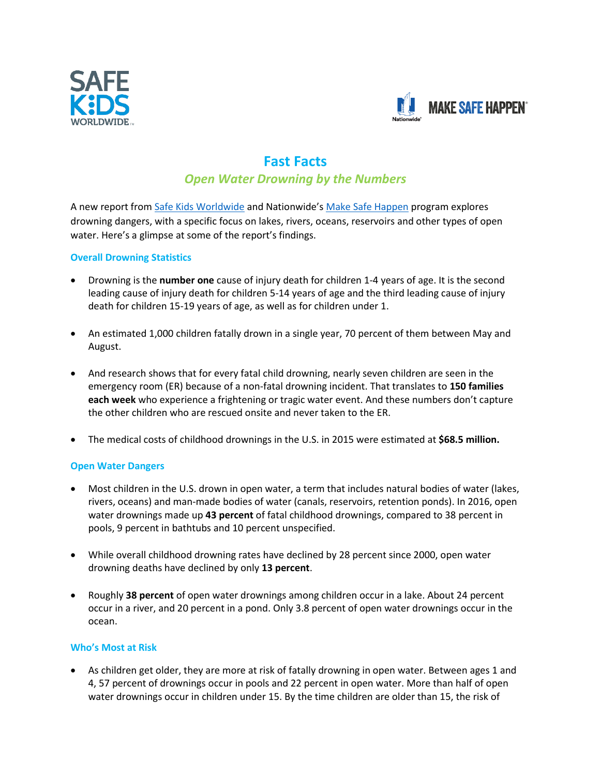



# **Fast Facts**

# *Open Water Drowning by the Numbers*

A new report fro[m Safe Kids Worldwide](file:///C:/Users/mhickey/AppData/Local/Microsoft/Windows/INetCache/Content.Outlook/NGN0GJKG/safekids.org) and Nationwide's [Make Safe Happen](http://makesafehappen.com/) program explores drowning dangers, with a specific focus on lakes, rivers, oceans, reservoirs and other types of open water. Here's a glimpse at some of the report's findings.

## **Overall Drowning Statistics**

- Drowning is the **number one** cause of injury death for children 1-4 years of age. It is the second leading cause of injury death for children 5-14 years of age and the third leading cause of injury death for children 15-19 years of age, as well as for children under 1.
- An estimated 1,000 children fatally drown in a single year, 70 percent of them between May and August.
- And research shows that for every fatal child drowning, nearly seven children are seen in the emergency room (ER) because of a non-fatal drowning incident. That translates to **150 families each week** who experience a frightening or tragic water event. And these numbers don't capture the other children who are rescued onsite and never taken to the ER.
- The medical costs of childhood drownings in the U.S. in 2015 were estimated at **\$68.5 million.**

### **Open Water Dangers**

- Most children in the U.S. drown in open water, a term that includes natural bodies of water (lakes, rivers, oceans) and man-made bodies of water (canals, reservoirs, retention ponds). In 2016, open water drownings made up **43 percent** of fatal childhood drownings, compared to 38 percent in pools, 9 percent in bathtubs and 10 percent unspecified.
- While overall childhood drowning rates have declined by 28 percent since 2000, open water drowning deaths have declined by only **13 percent**.
- Roughly **38 percent** of open water drownings among children occur in a lake. About 24 percent occur in a river, and 20 percent in a pond. Only 3.8 percent of open water drownings occur in the ocean.

### **Who's Most at Risk**

• As children get older, they are more at risk of fatally drowning in open water. Between ages 1 and 4, 57 percent of drownings occur in pools and 22 percent in open water. More than half of open water drownings occur in children under 15. By the time children are older than 15, the risk of